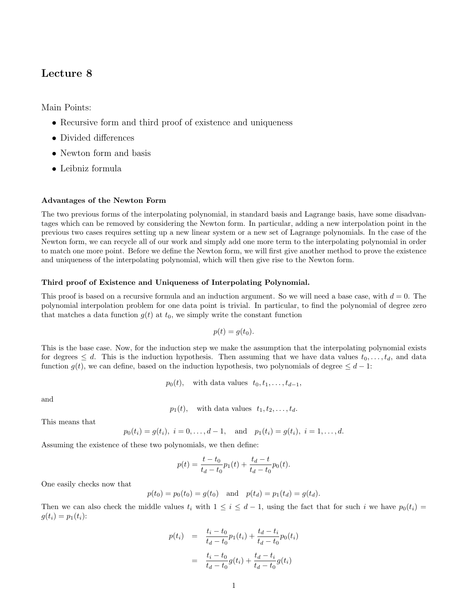# Lecture 8

Main Points:

- Recursive form and third proof of existence and uniqueness
- Divided differences
- Newton form and basis
- Leibniz formula

## Advantages of the Newton Form

The two previous forms of the interpolating polynomial, in standard basis and Lagrange basis, have some disadvantages which can be removed by considering the Newton form. In particular, adding a new interpolation point in the previous two cases requires setting up a new linear system or a new set of Lagrange polynomials. In the case of the Newton form, we can recycle all of our work and simply add one more term to the interpolating polynomial in order to match one more point. Before we define the Newton form, we will first give another method to prove the existence and uniqueness of the interpolating polynomial, which will then give rise to the Newton form.

### Third proof of Existence and Uniqueness of Interpolating Polynomial.

This proof is based on a recursive formula and an induction argument. So we will need a base case, with  $d = 0$ . The polynomial interpolation problem for one data point is trivial. In particular, to find the polynomial of degree zero that matches a data function  $g(t)$  at  $t_0$ , we simply write the constant function

$$
p(t) = g(t_0).
$$

This is the base case. Now, for the induction step we make the assumption that the interpolating polynomial exists for degrees  $\leq d$ . This is the induction hypothesis. Then assuming that we have data values  $t_0, \ldots, t_d$ , and data function  $g(t)$ , we can define, based on the induction hypothesis, two polynomials of degree  $\leq d-1$ :

$$
p_0(t)
$$
, with data values  $t_0, t_1, \ldots, t_{d-1}$ ,

and

 $p_1(t)$ , with data values  $t_1, t_2, \ldots, t_d$ .

This means that

$$
p_0(t_i) = g(t_i), i = 0,..., d-1,
$$
 and  $p_1(t_i) = g(t_i), i = 1,..., d.$ 

Assuming the existence of these two polynomials, we then define:

$$
p(t) = \frac{t - t_0}{t_d - t_0} p_1(t) + \frac{t_d - t}{t_d - t_0} p_0(t).
$$

One easily checks now that

$$
p(t_0) = p_0(t_0) = g(t_0)
$$
 and  $p(t_d) = p_1(t_d) = g(t_d)$ .

Then we can also check the middle values  $t_i$  with  $1 \leq i \leq d-1$ , using the fact that for such i we have  $p_0(t_i)$  $g(t_i) = p_1(t_i)$ :

$$
p(t_i) = \frac{t_i - t_0}{t_d - t_0} p_1(t_i) + \frac{t_d - t_i}{t_d - t_0} p_0(t_i)
$$
  
= 
$$
\frac{t_i - t_0}{t_d - t_0} g(t_i) + \frac{t_d - t_i}{t_d - t_0} g(t_i)
$$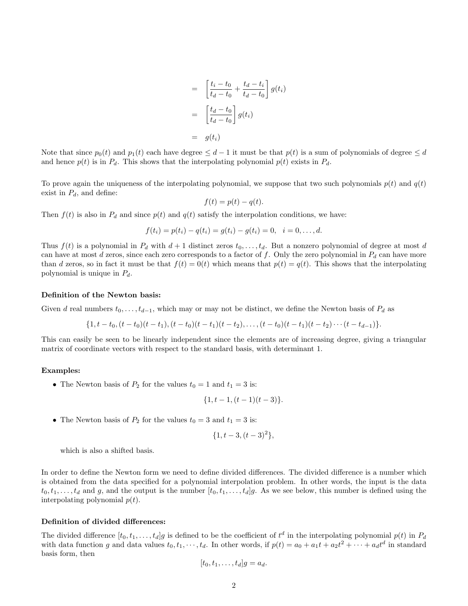$$
= \left[\frac{t_i - t_0}{t_d - t_0} + \frac{t_d - t_i}{t_d - t_0}\right] g(t_i)
$$

$$
= \left[\frac{t_d - t_0}{t_d - t_0}\right] g(t_i)
$$

$$
= g(t_i)
$$

Note that since  $p_0(t)$  and  $p_1(t)$  each have degree  $\leq d-1$  it must be that  $p(t)$  is a sum of polynomials of degree  $\leq d$ and hence  $p(t)$  is in  $P_d$ . This shows that the interpolating polynomial  $p(t)$  exists in  $P_d$ .

To prove again the uniqueness of the interpolating polynomial, we suppose that two such polynomials  $p(t)$  and  $q(t)$ exist in  $P_d$ , and define:

$$
f(t) = p(t) - q(t).
$$

Then  $f(t)$  is also in  $P_d$  and since  $p(t)$  and  $q(t)$  satisfy the interpolation conditions, we have:

$$
f(t_i) = p(t_i) - q(t_i) = g(t_i) - g(t_i) = 0, \quad i = 0, \ldots, d.
$$

Thus  $f(t)$  is a polynomial in  $P_d$  with  $d+1$  distinct zeros  $t_0, \ldots, t_d$ . But a nonzero polynomial of degree at most d can have at most d zeros, since each zero corresponds to a factor of f. Only the zero polynomial in  $P_d$  can have more than d zeros, so in fact it must be that  $f(t) = 0(t)$  which means that  $p(t) = q(t)$ . This shows that the interpolating polynomial is unique in  $P_d$ .

#### Definition of the Newton basis:

Given d real numbers  $t_0, \ldots, t_{d-1}$ , which may or may not be distinct, we define the Newton basis of  $P_d$  as

$$
\{1, t-t_0, (t-t_0)(t-t_1), (t-t_0)(t-t_1)(t-t_2), \ldots, (t-t_0)(t-t_1)(t-t_2)\cdots (t-t_{d-1})\}.
$$

This can easily be seen to be linearly independent since the elements are of increasing degree, giving a triangular matrix of coordinate vectors with respect to the standard basis, with determinant 1.

#### Examples:

• The Newton basis of  $P_2$  for the values  $t_0 = 1$  and  $t_1 = 3$  is:

$$
\{1, t-1, (t-1)(t-3)\}.
$$

• The Newton basis of  $P_2$  for the values  $t_0 = 3$  and  $t_1 = 3$  is:

$$
\{1, t-3, (t-3)^2\},\
$$

which is also a shifted basis.

In order to define the Newton form we need to define divided differences. The divided difference is a number which is obtained from the data specified for a polynomial interpolation problem. In other words, the input is the data  $t_0, t_1, \ldots, t_d$  and g, and the output is the number  $[t_0, t_1, \ldots, t_d]$ . As we see below, this number is defined using the interpolating polynomial  $p(t)$ .

## Definition of divided differences:

The divided difference  $[t_0, t_1, \ldots, t_d]$  is defined to be the coefficient of  $t^d$  in the interpolating polynomial  $p(t)$  in  $P_d$ with data function g and data values  $t_0, t_1, \dots, t_d$ . In other words, if  $p(t) = a_0 + a_1t + a_2t^2 + \dots + a_dt^d$  in standard basis form, then

$$
[t_0, t_1, \ldots, t_d]g = a_d.
$$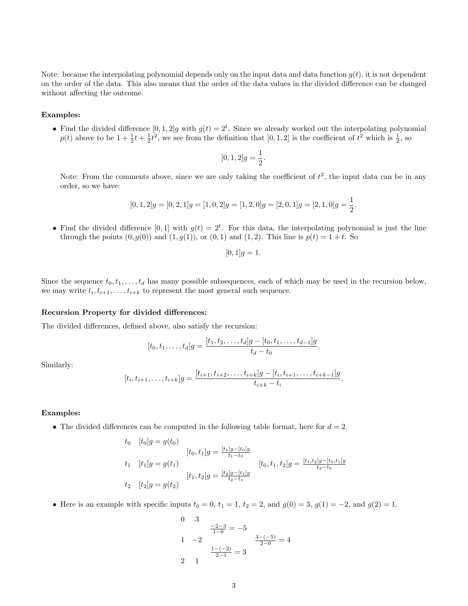Note: because the interpolating polynomial depends only on the input data and data function  $q(t)$ , it is not dependent on the order of the data. This also means that the order of the data values in the divided difference can be changed without affecting the outcome.

#### Examples:

• Find the divided difference  $[0,1,2]g$  with  $g(t) = 2^t$ . Since we already worked out the interpolating polynomial  $p(t)$  above to be  $1 + \frac{1}{2}t + \frac{1}{2}t^2$ , we see from the definition that  $[0, 1, 2]$  is the coefficient of  $t^2$  which is  $\frac{1}{2}$ , so

$$
[0,1,2]g = \frac{1}{2}.
$$

Note: From the comments above, since we are only taking the coefficient of  $t^2$ , the input data can be in any order, so we have:

$$
[0, 1, 2]g = [0, 2, 1]g = [1, 0, 2]g = [1, 2, 0]g = [2, 0, 1]g = [2, 1, 0]g = \frac{1}{2}.
$$

• Find the divided difference [0, 1] with  $g(t) = 2^t$ . For this data, the interpolating polynomial is just the line through the points  $(0, g(0))$  and  $(1, g(1))$ , or  $(0, 1)$  and  $(1, 2)$ . This line is  $p(t) = 1 + t$ . So

$$
[0,1]g=1.
$$

Since the sequence  $t_0, t_1, \ldots, t_d$  has many possible subsequences, each of which may be used in the recursion below, we may write  $t_i, t_{i+1}, \ldots, t_{i+k}$  to represent the most general such sequence.

#### Recursion Property for divided differences:

The divided differences, defined above, also satisfy the recursion:

$$
[t_0, t_1, \ldots, t_d]g = \frac{[t_1, t_2, \ldots, t_d]g - [t_0, t_1, \ldots, t_{d-1}]g}{t_d - t_0}.
$$

Similarly:

$$
[t_i, t_{i+1}, \ldots, t_{i+k}]g = \frac{[t_{i+1}, t_{i+2}, \ldots, t_{i+k}]g - [t_i, t_{i+1}, \ldots, t_{i+k-1}]g}{t_{i+k} - t_i}.
$$

#### Examples:

• The divided differences can be computed in the following table format, here for  $d = 2$ .

$$
t_0 \t[t_0]g = g(t_0)
$$
  
\n
$$
[t_0, t_1]g = \frac{[t_1]g - [t_0]g}{t_1 - t_0}
$$
  
\n
$$
t_1 \t[t_1]g = g(t_1)
$$
  
\n
$$
[t_1, t_2]g = \frac{[t_2]g - [t_1]g}{t_2 - t_1}
$$
  
\n
$$
[t_2, t_2]g = g(t_2)
$$
  
\n
$$
[t_3, t_1]g = \frac{[t_3]g - [t_1]g}{t_2 - t_1}
$$

• Here is an example with specific inputs  $t_0 = 0$ ,  $t_1 = 1$ ,  $t_2 = 2$ , and  $g(0) = 3$ ,  $g(1) = -2$ , and  $g(2) = 1$ .

0 3  
\n
$$
\frac{-2-3}{1-0} = -5
$$
\n1 -2  
\n
$$
\frac{3-(-5)}{2-0} = 4
$$
\n2 1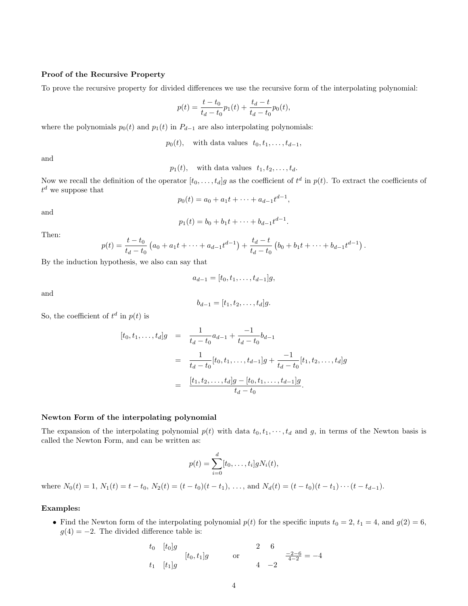## Proof of the Recursive Property

To prove the recursive property for divided differences we use the recursive form of the interpolating polynomial:

$$
p(t) = \frac{t - t_0}{t_d - t_0} p_1(t) + \frac{t_d - t}{t_d - t_0} p_0(t),
$$

where the polynomials  $p_0(t)$  and  $p_1(t)$  in  $P_{d-1}$  are also interpolating polynomials:

 $p_0(t)$ , with data values  $t_0, t_1, \ldots, t_{d-1}$ ,

and

 $p_1(t)$ , with data values  $t_1, t_2, \ldots, t_d$ .

Now we recall the definition of the operator  $[t_0, \ldots, t_d]g$  as the coefficient of  $t^d$  in  $p(t)$ . To extract the coefficients of  $t^d$  we suppose that

$$
p_0(t) = a_0 + a_1t + \dots + a_{d-1}t^{d-1}
$$

,

and

$$
p_1(t) = b_0 + b_1t + \dots + b_{d-1}t^{d-1}.
$$

Then:

$$
p(t) = \frac{t - t_0}{t_d - t_0} \left( a_0 + a_1 t + \dots + a_{d-1} t^{d-1} \right) + \frac{t_d - t}{t_d - t_0} \left( b_0 + b_1 t + \dots + b_{d-1} t^{d-1} \right).
$$

By the induction hypothesis, we also can say that

$$
a_{d-1} = [t_0, t_1, \ldots, t_{d-1}]g,
$$

and

$$
b_{d-1} = [t_1, t_2, \dots, t_d]g.
$$

So, the coefficient of  $t^d$  in  $p(t)$  is

$$
[t_0, t_1, \dots, t_d]g = \frac{1}{t_d - t_0} a_{d-1} + \frac{-1}{t_d - t_0} b_{d-1}
$$
  

$$
= \frac{1}{t_d - t_0} [t_0, t_1, \dots, t_{d-1}]g + \frac{-1}{t_d - t_0} [t_1, t_2, \dots, t_d]g
$$
  

$$
= \frac{[t_1, t_2, \dots, t_d]g - [t_0, t_1, \dots, t_{d-1}]g}{t_d - t_0}.
$$

#### Newton Form of the interpolating polynomial

The expansion of the interpolating polynomial  $p(t)$  with data  $t_0, t_1, \dots, t_d$  and g, in terms of the Newton basis is called the Newton Form, and can be written as:

$$
p(t) = \sum_{i=0}^d [t_0, \dots, t_i] g N_i(t),
$$

where  $N_0(t) = 1$ ,  $N_1(t) = t - t_0$ ,  $N_2(t) = (t - t_0)(t - t_1)$ , ..., and  $N_d(t) = (t - t_0)(t - t_1) \cdots (t - t_{d-1})$ .

## Examples:

• Find the Newton form of the interpolating polynomial  $p(t)$  for the specific inputs  $t_0 = 2$ ,  $t_1 = 4$ , and  $g(2) = 6$ ,  $g(4) = -2$ . The divided difference table is:

$$
t_0
$$
  $[t_0]g$   
\n $t_1$   $[t_1]g$  or  $\begin{cases}\n t_2 & \text{if } t_2 = -4 \\
 4 & -2\n\end{cases}$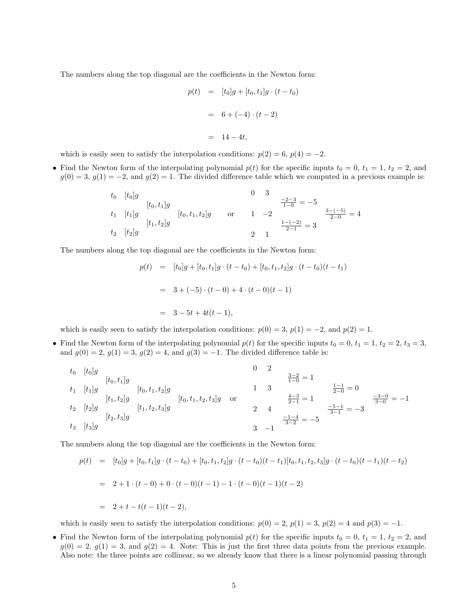The numbers along the top diagonal are the coefficients in the Newton form:

$$
p(t) = [t_0]g + [t_0, t_1]g \cdot (t - t_0)
$$

$$
= 6 + (-4) \cdot (t - 2)
$$

$$
= 14 - 4t,
$$

which is easily seen to satisfy the interpolation conditions:  $p(2) = 6$ ,  $p(4) = -2$ .

• Find the Newton form of the interpolating polynomial  $p(t)$  for the specific inputs  $t_0 = 0, t_1 = 1, t_2 = 2$ , and  $g(0) = 3, g(1) = -2$ , and  $g(2) = 1$ . The divided difference table which we computed in a previous example is:

$$
t_0 \t[t_0]g
$$
  
\n
$$
t_1 \t[t_1]g
$$
  
\n
$$
t_2 \t[t_2]g
$$
  
\n
$$
t_3 \t[2,2]
$$
  
\n
$$
t_4 \t[2,2]
$$
  
\n
$$
t_5 \t[2,2]
$$
  
\n
$$
t_6 \t[2,2]
$$
  
\n
$$
t_7 \t[2,2]
$$
  
\n
$$
t_8 \t[2,2]
$$
  
\n
$$
t_9 \t[2,2]
$$
  
\n
$$
t_1 \t[2,2]
$$
  
\n
$$
t_2 \t[2,2]
$$
  
\n
$$
t_3 \t[2,2]
$$
  
\n
$$
t_4 \t[2,2]
$$
  
\n
$$
t_5 \t[2,2]
$$
  
\n
$$
t_6 \t[2,2]
$$
  
\n
$$
t_7 \t[2,2]
$$
  
\n
$$
t_8 \t[2,2]
$$
  
\n
$$
t_9 \t[2,2]
$$
  
\n
$$
t_1 \t[2,2]
$$
  
\n
$$
t_2 \t[2,2]
$$
  
\n
$$
t_3 \t[2,2]
$$
  
\n
$$
t_4 \t[2,2]
$$
  
\n
$$
t_5 \t[2,2]
$$
  
\n
$$
t_6 \t[2,2]
$$
  
\n
$$
t_7 \t[2,2]
$$
  
\n
$$
t_8 \t[2,2]
$$
  
\n
$$
t_9 \t[2,2]
$$
  
\n
$$
t_1 \t[2,2]
$$
  
\n
$$
t_2 \t[2,2]
$$
  
\n
$$
t_3 \t[2,2]
$$
  
\n
$$
t_4 \t[2,2]
$$
  
\n
$$
t_5 \t[2,2]
$$
  
\n
$$
t_6 \t[2,2]
$$
  
\n
$$
t_7 \t[2,2]
$$
  
\n
$$
t_8 \t[2,2]
$$
  
\n

The numbers along the top diagonal are the coefficients in the Newton form:

$$
p(t) = [t_0]g + [t_0, t_1]g \cdot (t - t_0) + [t_0, t_1, t_2]g \cdot (t - t_0)(t - t_1)
$$
  
= 3 + (-5) \cdot (t - 0) + 4 \cdot (t - 0)(t - 1)  
= 3 - 5t + 4t(t - 1),

which is easily seen to satisfy the interpolation conditions:  $p(0) = 3$ ,  $p(1) = -2$ , and  $p(2) = 1$ .

• Find the Newton form of the interpolating polynomial  $p(t)$  for the specific inputs  $t_0 = 0, t_1 = 1, t_2 = 2, t_3 = 3,$ and  $g(0) = 2$ ,  $g(1) = 3$ ,  $g(2) = 4$ , and  $g(3) = -1$ . The divided difference table is:

t<sup>0</sup> [t0]g [t0, t1]g t<sup>1</sup> [t1]g [t0, t1, t2]g [t1, t2]g [t0, t1, t2, t3]g t<sup>2</sup> [t2]g [t1, t2, t3]g [t2, t3]g t<sup>3</sup> [t3]g or 0 2 3−2 <sup>1</sup>−<sup>0</sup> = 1 1 3 <sup>1</sup>−<sup>1</sup> <sup>2</sup>−<sup>0</sup> = 0 4−3 <sup>2</sup>−<sup>1</sup> = 1 <sup>−</sup>3−<sup>0</sup> <sup>3</sup>−<sup>0</sup> = −1 2 4 <sup>−</sup>5−<sup>1</sup> <sup>3</sup>−<sup>1</sup> = −3 −1−4 <sup>3</sup>−<sup>2</sup> = −5 3 −1

The numbers along the top diagonal are the coefficients in the Newton form:

$$
p(t) = [t_0]g + [t_0, t_1]g \cdot (t - t_0) + [t_0, t_1, t_2]g \cdot (t - t_0)(t - t_1)[t_0, t_1, t_2, t_3]g \cdot (t - t_0)(t - t_1)(t - t_2)
$$
  
= 2 + 1 \cdot (t - 0) + 0 \cdot (t - 0)(t - 1) - 1 \cdot (t - 0)(t - 1)(t - 2)  
= 2 + t - t(t - 1)(t - 2),

which is easily seen to satisfy the interpolation conditions:  $p(0) = 2$ ,  $p(1) = 3$ ,  $p(2) = 4$  and  $p(3) = -1$ .

• Find the Newton form of the interpolating polynomial  $p(t)$  for the specific inputs  $t_0 = 0, t_1 = 1, t_2 = 2$ , and  $g(0) = 2, g(1) = 3$ , and  $g(2) = 4$ . Note: This is just the first three data points from the previous example. Also note: the three points are collinear, so we already know that there is a linear polynomial passing through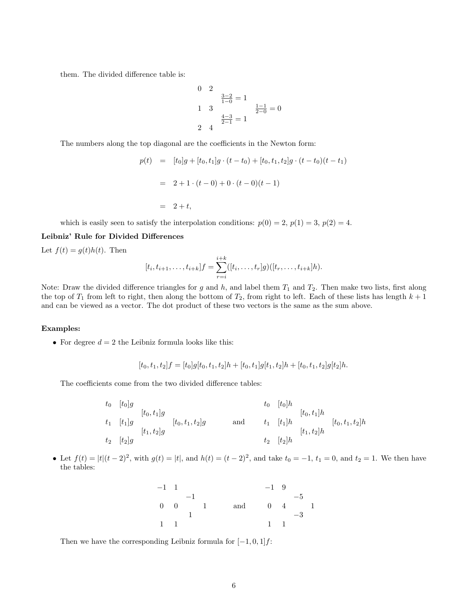them. The divided difference table is:

$$
0 \quad 2
$$
\n
$$
\frac{3-2}{1-0} = 1
$$
\n
$$
1 \quad 3
$$
\n
$$
\frac{4-3}{2-1} = 1
$$
\n
$$
2 \quad 4
$$

The numbers along the top diagonal are the coefficients in the Newton form:

$$
p(t) = [t_0]g + [t_0, t_1]g \cdot (t - t_0) + [t_0, t_1, t_2]g \cdot (t - t_0)(t - t_1)
$$
  
= 2 + 1 \cdot (t - 0) + 0 \cdot (t - 0)(t - 1)  
= 2 + t,

which is easily seen to satisfy the interpolation conditions:  $p(0) = 2$ ,  $p(1) = 3$ ,  $p(2) = 4$ .

## Leibniz' Rule for Divided Differences

Let  $f(t) = g(t)h(t)$ . Then

$$
[t_i, t_{i+1}, \dots, t_{i+k}]f = \sum_{r=i}^{i+k} ([t_i, \dots, t_r]g)([t_r, \dots, t_{i+k}]h).
$$

Note: Draw the divided difference triangles for g and h, and label them  $T_1$  and  $T_2$ . Then make two lists, first along the top of  $T_1$  from left to right, then along the bottom of  $T_2$ , from right to left. Each of these lists has length  $k+1$ and can be viewed as a vector. The dot product of these two vectors is the same as the sum above.

#### Examples:

• For degree  $d = 2$  the Leibniz formula looks like this:

$$
[t_0, t_1, t_2]f = [t_0]g[t_0, t_1, t_2]h + [t_0, t_1]g[t_1, t_2]h + [t_0, t_1, t_2]g[t_2]h.
$$

The coefficients come from the two divided difference tables:

$$
t_{0} [t_{0}]g
$$
  
\n
$$
t_{1} [t_{1}]g
$$
  
\n
$$
t_{2} [t_{2}]g
$$
  
\n
$$
t_{2} [t_{2}]g
$$
  
\n
$$
t_{3} [t_{1}, t_{2}]g
$$
  
\n
$$
t_{4} [t_{1}]h
$$
  
\n
$$
t_{5} [t_{2}]h
$$
  
\n
$$
t_{6} [t_{0}]h
$$
  
\n
$$
t_{7} [t_{1}]h
$$
  
\n
$$
t_{8} [t_{2}]h
$$
  
\n
$$
t_{9} [t_{1}, t_{2}]h
$$
  
\n
$$
t_{1} [t_{1}]h
$$
  
\n
$$
t_{2} [t_{2}]h
$$

• Let  $f(t) = |t|(t-2)^2$ , with  $g(t) = |t|$ , and  $h(t) = (t-2)^2$ , and take  $t_0 = -1$ ,  $t_1 = 0$ , and  $t_2 = 1$ . We then have the tables:

| $-1$ 1    |             |      |     | $-1\quad 9$  |      |  |
|-----------|-------------|------|-----|--------------|------|--|
|           | $-1$        |      |     |              | $-5$ |  |
|           | $0 \quad 0$ | $-1$ | and | $0 \quad 4$  |      |  |
|           |             |      |     |              | $-3$ |  |
| $1 \quad$ |             |      |     | $\mathbf{1}$ |      |  |

Then we have the corresponding Leibniz formula for  $[-1, 0, 1]$ *f*: